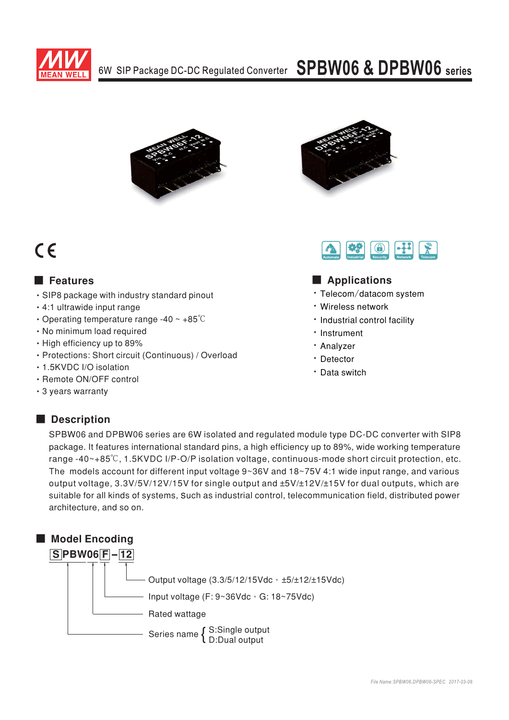

## 6W SIP Package DC-DC Regulated Converter SPBW06 & DPBW06 series



# $C \in$

### **E** Features

- · SIP8 package with industry standard pinout
- · 4:1 ultrawide input range
- Operating temperature range -40  $\sim$  +85 $\degree$ C
- · No minimum load required
- High efficiency up to 89%
- · Protections: Short circuit (Continuous) / Overload
- 1.5KVDC I/O isolation
- · Remote ON/OFF control
- 3 years warranty





### Applications

- · Telecom/datacom system
- · Wireless network
- · Industrial control facility
- · Instrument
- Analyzer
- · Detector
- · Data switch

## Description

SPBW06 and DPBW06 series are 6W isolated and regulated module type DC-DC converter with SIP8 package. It features international standard pins, a high efficiency up to 89%, wide working temperature range -40~+85°C, 1.5KVDC I/P-O/P isolation voltage, continuous-mode short circuit protection, etc. The models account for different input voltage 9~36V and 18~75V 4:1 wide input range, and various output voltage, 3.3V/5V/12V/15V for single output and ±5V/±12V/±15V for dual outputs, which are suitable for all kinds of systems, Such as industrial control, telecommunication field, distributed power architecture, and so on.

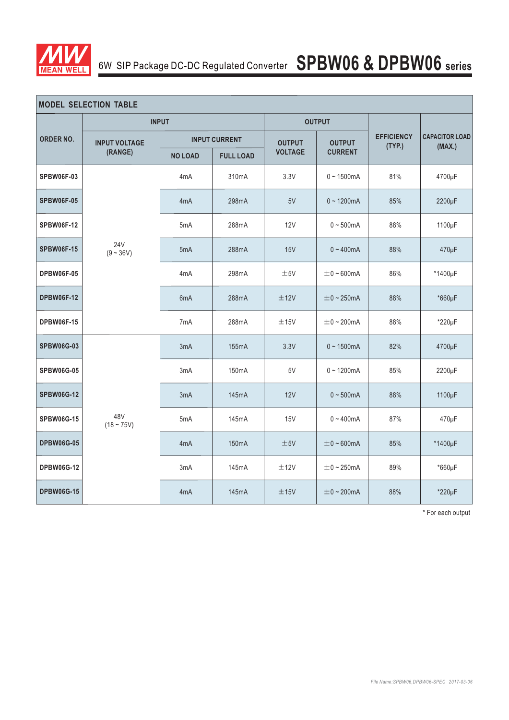

## 6W SIP Package DC-DC Regulated Converter **SPBW06 & DPBW06 series**

| <b>MODEL SELECTION TABLE</b> |                                 |                      |                    |                |                 |                             |                                 |  |
|------------------------------|---------------------------------|----------------------|--------------------|----------------|-----------------|-----------------------------|---------------------------------|--|
| <b>ORDER NO.</b>             | <b>INPUT</b>                    |                      | <b>OUTPUT</b>      |                |                 |                             |                                 |  |
|                              | <b>INPUT VOLTAGE</b><br>(RANGE) | <b>INPUT CURRENT</b> |                    | <b>OUTPUT</b>  | <b>OUTPUT</b>   | <b>EFFICIENCY</b><br>(TYP.) | <b>CAPACITOR LOAD</b><br>(MAX.) |  |
|                              |                                 | <b>NO LOAD</b>       | <b>FULL LOAD</b>   | <b>VOLTAGE</b> | <b>CURRENT</b>  |                             |                                 |  |
| <b>SPBW06F-03</b>            | <b>24V</b><br>$(9 - 36V)$       | 4 <sub>m</sub> A     | 310mA              | 3.3V           | $0 - 1500$ mA   | 81%                         | 4700µF                          |  |
| <b>SPBW06F-05</b>            |                                 | 4 <sub>m</sub> A     | 298mA              | 5V             | $0 - 1200mA$    | 85%                         | 2200µF                          |  |
| <b>SPBW06F-12</b>            |                                 | 5mA                  | 288mA              | 12V            | $0 - 500$ mA    | 88%                         | 1100µF                          |  |
| <b>SPBW06F-15</b>            |                                 | 5mA                  | 288mA              | 15V            | $0 - 400$ mA    | 88%                         | 470µF                           |  |
| <b>DPBW06F-05</b>            |                                 | 4 <sub>m</sub> A     | 298mA              | ±5V            | $\pm$ 0 ~ 600mA | 86%                         | *1400µF                         |  |
| <b>DPBW06F-12</b>            |                                 | 6 <sub>m</sub> A     | 288mA              | ±12V           | $\pm$ 0 ~ 250mA | 88%                         | *660µF                          |  |
| <b>DPBW06F-15</b>            |                                 | 7 <sub>m</sub> A     | 288mA              | ±15V           | $\pm$ 0 ~ 200mA | 88%                         | $*220\mu F$                     |  |
| <b>SPBW06G-03</b>            | 48V<br>$(18 - 75V)$             | 3mA                  | 155mA              | 3.3V           | $0 - 1500mA$    | 82%                         | 4700µF                          |  |
| <b>SPBW06G-05</b>            |                                 | 3mA                  | 150 <sub>m</sub> A | 5V             | $0 - 1200$ mA   | 85%                         | 2200µF                          |  |
| <b>SPBW06G-12</b>            |                                 | 3mA                  | 145mA              | 12V            | $0 - 500mA$     | 88%                         | 1100µF                          |  |
| <b>SPBW06G-15</b>            |                                 | 5 <sub>m</sub> A     | 145mA              | 15V            | $0 - 400$ mA    | 87%                         | 470µF                           |  |
| <b>DPBW06G-05</b>            |                                 | 4 <sub>m</sub> A     | 150mA              | ±5V            | $\pm$ 0 ~ 600mA | 85%                         | *1400µF                         |  |
| <b>DPBW06G-12</b>            |                                 | 3mA                  | 145mA              | ±12V           | $\pm$ 0 ~ 250mA | 89%                         | *660µF                          |  |
| <b>DPBW06G-15</b>            |                                 | 4 <sub>m</sub> A     | 145mA              | ±15V           | $\pm$ 0 ~ 200mA | 88%                         | *220µF                          |  |

\* For each output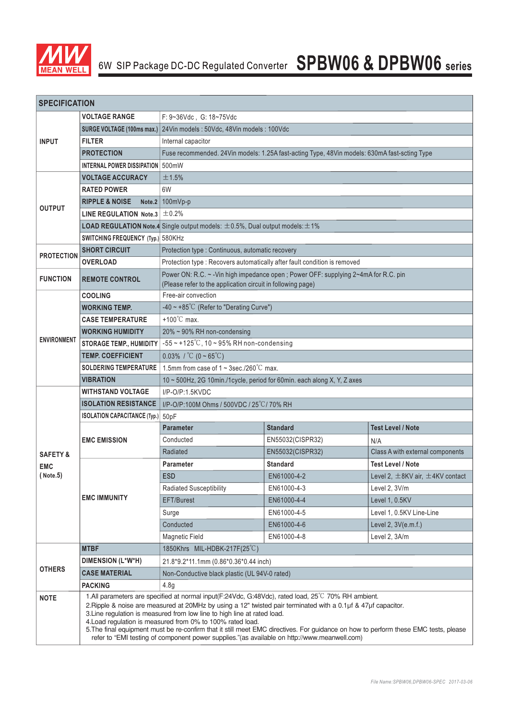

| <b>SPECIFICATION</b>                           |                                                                                                                                                                                                                                                                                                                                                                                                                                                                                                                                                                                                      |                                                                                                |                                                                                                                                                    |                                           |  |  |  |  |  |
|------------------------------------------------|------------------------------------------------------------------------------------------------------------------------------------------------------------------------------------------------------------------------------------------------------------------------------------------------------------------------------------------------------------------------------------------------------------------------------------------------------------------------------------------------------------------------------------------------------------------------------------------------------|------------------------------------------------------------------------------------------------|----------------------------------------------------------------------------------------------------------------------------------------------------|-------------------------------------------|--|--|--|--|--|
|                                                | <b>VOLTAGE RANGE</b>                                                                                                                                                                                                                                                                                                                                                                                                                                                                                                                                                                                 | F: 9~36Vdc, G: 18~75Vdc                                                                        |                                                                                                                                                    |                                           |  |  |  |  |  |
| <b>INPUT</b>                                   | <b>SURGE VOLTAGE (100ms max.)</b>                                                                                                                                                                                                                                                                                                                                                                                                                                                                                                                                                                    | 24Vin models: 50Vdc, 48Vin models: 100Vdc                                                      |                                                                                                                                                    |                                           |  |  |  |  |  |
|                                                | <b>FILTER</b>                                                                                                                                                                                                                                                                                                                                                                                                                                                                                                                                                                                        | Internal capacitor                                                                             |                                                                                                                                                    |                                           |  |  |  |  |  |
|                                                | <b>PROTECTION</b>                                                                                                                                                                                                                                                                                                                                                                                                                                                                                                                                                                                    | Fuse recommended. 24Vin models: 1.25A fast-acting Type, 48Vin models: 630mA fast-scting Type   |                                                                                                                                                    |                                           |  |  |  |  |  |
|                                                | INTERNAL POWER DISSIPATION 500mW                                                                                                                                                                                                                                                                                                                                                                                                                                                                                                                                                                     |                                                                                                |                                                                                                                                                    |                                           |  |  |  |  |  |
|                                                | <b>VOLTAGE ACCURACY</b>                                                                                                                                                                                                                                                                                                                                                                                                                                                                                                                                                                              | ±1.5%                                                                                          |                                                                                                                                                    |                                           |  |  |  |  |  |
| <b>OUTPUT</b>                                  | <b>RATED POWER</b>                                                                                                                                                                                                                                                                                                                                                                                                                                                                                                                                                                                   | 6W                                                                                             |                                                                                                                                                    |                                           |  |  |  |  |  |
|                                                | <b>RIPPLE &amp; NOISE</b><br>Note.2                                                                                                                                                                                                                                                                                                                                                                                                                                                                                                                                                                  | 100mVp-p                                                                                       |                                                                                                                                                    |                                           |  |  |  |  |  |
|                                                | LINE REGULATION Note.3 $\pm$ 0.2%                                                                                                                                                                                                                                                                                                                                                                                                                                                                                                                                                                    |                                                                                                |                                                                                                                                                    |                                           |  |  |  |  |  |
|                                                |                                                                                                                                                                                                                                                                                                                                                                                                                                                                                                                                                                                                      | <b>LOAD REGULATION Note.4</b> Single output models: $\pm 0.5$ %, Dual output models: $\pm 1$ % |                                                                                                                                                    |                                           |  |  |  |  |  |
|                                                | SWITCHING FREQUENCY (Typ.) 580KHz                                                                                                                                                                                                                                                                                                                                                                                                                                                                                                                                                                    |                                                                                                |                                                                                                                                                    |                                           |  |  |  |  |  |
|                                                | <b>SHORT CIRCUIT</b>                                                                                                                                                                                                                                                                                                                                                                                                                                                                                                                                                                                 | Protection type : Continuous, automatic recovery                                               |                                                                                                                                                    |                                           |  |  |  |  |  |
| <b>PROTECTION</b>                              | <b>OVERLOAD</b>                                                                                                                                                                                                                                                                                                                                                                                                                                                                                                                                                                                      | Protection type : Recovers automatically after fault condition is removed                      |                                                                                                                                                    |                                           |  |  |  |  |  |
| <b>FUNCTION</b>                                | <b>REMOTE CONTROL</b>                                                                                                                                                                                                                                                                                                                                                                                                                                                                                                                                                                                |                                                                                                | Power ON: R.C. ~ - Vin high impedance open; Power OFF: supplying 2~4mA for R.C. pin<br>(Please refer to the application circuit in following page) |                                           |  |  |  |  |  |
|                                                | <b>COOLING</b>                                                                                                                                                                                                                                                                                                                                                                                                                                                                                                                                                                                       | Free-air convection                                                                            |                                                                                                                                                    |                                           |  |  |  |  |  |
|                                                | <b>WORKING TEMP.</b>                                                                                                                                                                                                                                                                                                                                                                                                                                                                                                                                                                                 | $-40 \sim +85^{\circ}$ C (Refer to "Derating Curve")                                           |                                                                                                                                                    |                                           |  |  |  |  |  |
|                                                | <b>CASE TEMPERATURE</b>                                                                                                                                                                                                                                                                                                                                                                                                                                                                                                                                                                              | $+100^{\circ}$ C max.                                                                          |                                                                                                                                                    |                                           |  |  |  |  |  |
|                                                | <b>WORKING HUMIDITY</b>                                                                                                                                                                                                                                                                                                                                                                                                                                                                                                                                                                              | 20% ~ 90% RH non-condensing                                                                    |                                                                                                                                                    |                                           |  |  |  |  |  |
| <b>ENVIRONMENT</b>                             | <b>STORAGE TEMP., HUMIDITY</b>                                                                                                                                                                                                                                                                                                                                                                                                                                                                                                                                                                       | $-55 \sim +125^{\circ}$ C, 10 ~ 95% RH non-condensing                                          |                                                                                                                                                    |                                           |  |  |  |  |  |
|                                                | <b>TEMP. COEFFICIENT</b>                                                                                                                                                                                                                                                                                                                                                                                                                                                                                                                                                                             | $0.03\%$ / °C (0 ~ 65°C)                                                                       |                                                                                                                                                    |                                           |  |  |  |  |  |
|                                                | <b>SOLDERING TEMPERATURE</b>                                                                                                                                                                                                                                                                                                                                                                                                                                                                                                                                                                         | 1.5mm from case of $1 \sim 3$ sec./260 $\degree$ C max.                                        |                                                                                                                                                    |                                           |  |  |  |  |  |
|                                                | <b>VIBRATION</b>                                                                                                                                                                                                                                                                                                                                                                                                                                                                                                                                                                                     | 10 ~ 500Hz, 2G 10min./1cycle, period for 60min. each along X, Y, Z axes                        |                                                                                                                                                    |                                           |  |  |  |  |  |
|                                                | <b>WITHSTAND VOLTAGE</b>                                                                                                                                                                                                                                                                                                                                                                                                                                                                                                                                                                             | $I/P$ -O/P:1.5KVDC                                                                             |                                                                                                                                                    |                                           |  |  |  |  |  |
|                                                | <b>ISOLATION RESISTANCE</b>                                                                                                                                                                                                                                                                                                                                                                                                                                                                                                                                                                          | I/P-O/P:100M Ohms / 500VDC / 25°C / 70% RH                                                     |                                                                                                                                                    |                                           |  |  |  |  |  |
|                                                | <b>ISOLATION CAPACITANCE (Typ.)</b>                                                                                                                                                                                                                                                                                                                                                                                                                                                                                                                                                                  | 50pF                                                                                           |                                                                                                                                                    |                                           |  |  |  |  |  |
|                                                | <b>EMC EMISSION</b>                                                                                                                                                                                                                                                                                                                                                                                                                                                                                                                                                                                  | <b>Parameter</b>                                                                               | <b>Standard</b>                                                                                                                                    | <b>Test Level / Note</b>                  |  |  |  |  |  |
|                                                |                                                                                                                                                                                                                                                                                                                                                                                                                                                                                                                                                                                                      | Conducted                                                                                      | EN55032(CISPR32)                                                                                                                                   | N/A                                       |  |  |  |  |  |
| <b>SAFETY &amp;</b><br><b>EMC</b><br>( Note.5) |                                                                                                                                                                                                                                                                                                                                                                                                                                                                                                                                                                                                      | Radiated                                                                                       | EN55032(CISPR32)                                                                                                                                   | Class A with external components          |  |  |  |  |  |
|                                                | <b>EMC IMMUNITY</b>                                                                                                                                                                                                                                                                                                                                                                                                                                                                                                                                                                                  | <b>Parameter</b>                                                                               | <b>Standard</b>                                                                                                                                    | <b>Test Level / Note</b>                  |  |  |  |  |  |
|                                                |                                                                                                                                                                                                                                                                                                                                                                                                                                                                                                                                                                                                      | <b>ESD</b>                                                                                     | EN61000-4-2                                                                                                                                        | Level 2, $\pm$ 8KV air, $\pm$ 4KV contact |  |  |  |  |  |
|                                                |                                                                                                                                                                                                                                                                                                                                                                                                                                                                                                                                                                                                      | <b>Radiated Susceptibility</b>                                                                 | EN61000-4-3                                                                                                                                        | Level 2, 3V/m                             |  |  |  |  |  |
|                                                |                                                                                                                                                                                                                                                                                                                                                                                                                                                                                                                                                                                                      | EFT/Burest                                                                                     | EN61000-4-4                                                                                                                                        | Level 1, 0.5KV                            |  |  |  |  |  |
|                                                |                                                                                                                                                                                                                                                                                                                                                                                                                                                                                                                                                                                                      | Surge                                                                                          | EN61000-4-5                                                                                                                                        | Level 1, 0.5KV Line-Line                  |  |  |  |  |  |
|                                                |                                                                                                                                                                                                                                                                                                                                                                                                                                                                                                                                                                                                      | Conducted                                                                                      | EN61000-4-6                                                                                                                                        | Level 2, 3V(e.m.f.)                       |  |  |  |  |  |
|                                                |                                                                                                                                                                                                                                                                                                                                                                                                                                                                                                                                                                                                      | <b>Magnetic Field</b>                                                                          | EN61000-4-8                                                                                                                                        | Level 2, 3A/m                             |  |  |  |  |  |
|                                                | <b>MTBF</b>                                                                                                                                                                                                                                                                                                                                                                                                                                                                                                                                                                                          | 1850Khrs MIL-HDBK-217F(25°C)                                                                   |                                                                                                                                                    |                                           |  |  |  |  |  |
|                                                | DIMENSION (L*W*H)                                                                                                                                                                                                                                                                                                                                                                                                                                                                                                                                                                                    | 21.8*9.2*11.1mm (0.86*0.36*0.44 inch)                                                          |                                                                                                                                                    |                                           |  |  |  |  |  |
| <b>OTHERS</b>                                  | <b>CASE MATERIAL</b>                                                                                                                                                                                                                                                                                                                                                                                                                                                                                                                                                                                 | Non-Conductive black plastic (UL 94V-0 rated)                                                  |                                                                                                                                                    |                                           |  |  |  |  |  |
|                                                | <b>PACKING</b>                                                                                                                                                                                                                                                                                                                                                                                                                                                                                                                                                                                       | 4.8g                                                                                           |                                                                                                                                                    |                                           |  |  |  |  |  |
| <b>NOTE</b>                                    | 1.All parameters are specified at normal input(F:24Vdc, G:48Vdc), rated load, 25°C 70% RH ambient.<br>2. Ripple & noise are measured at 20MHz by using a 12" twisted pair terminated with a 0.1µf & 47µf capacitor.<br>3. Line regulation is measured from low line to high line at rated load.<br>4. Load regulation is measured from 0% to 100% rated load.<br>5. The final equipment must be re-confirm that it still meet EMC directives. For guidance on how to perform these EMC tests, please<br>refer to "EMI testing of component power supplies."(as available on http://www.meanwell.com) |                                                                                                |                                                                                                                                                    |                                           |  |  |  |  |  |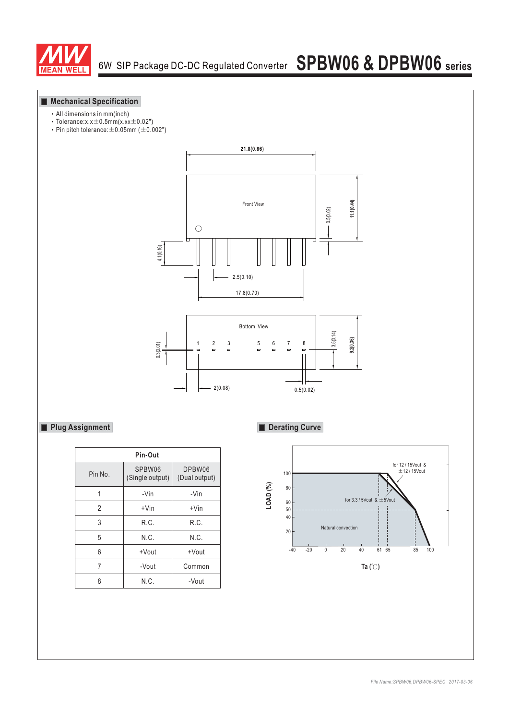

#### **Mechanical Specification**

- All dimensions in mm(inch)
- $\cdot$  Tolerance:x.x  $\pm$  0.5mm(x.xx  $\pm$  0.02")
- Pin pitch tolerance:  $\pm$  0.05mm ( $\pm$  0.002")



2(0.08) 0.5(0.02)

#### **Plug Assignment**

| Pin-Out        |                           |                         |  |  |  |  |  |
|----------------|---------------------------|-------------------------|--|--|--|--|--|
| Pin No.        | SPBW06<br>(Single output) | DPBW06<br>(Dual output) |  |  |  |  |  |
|                | -Vin                      | -Vin                    |  |  |  |  |  |
| $\mathfrak{p}$ | $+V$ in                   | $+V$ in                 |  |  |  |  |  |
| 3              | R.C.                      | R.C.                    |  |  |  |  |  |
| 5              | N.C.                      | N.C.                    |  |  |  |  |  |
| 6              | +Vout                     | +Vout                   |  |  |  |  |  |
| 7              | -Vout                     | Common                  |  |  |  |  |  |
| ጸ              | N.C.                      | -Vout                   |  |  |  |  |  |

#### **Derating Curve**